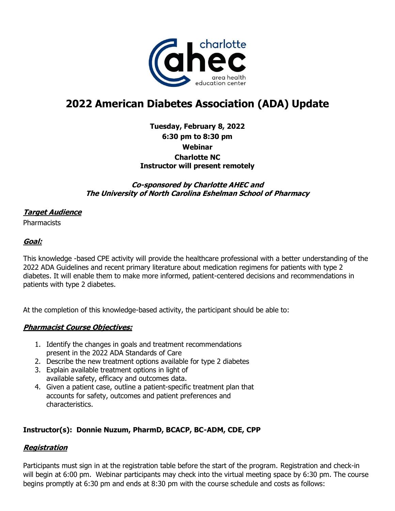

# **2022 American Diabetes Association (ADA) Update**

# **Tuesday, February 8, 2022 6:30 pm to 8:30 pm Webinar Charlotte NC Instructor will present remotely**

## **Co-sponsored by Charlotte AHEC and The University of North Carolina Eshelman School of Pharmacy**

## **Target Audience**

**Pharmacists** 

# **Goal:**

This knowledge -based CPE activity will provide the healthcare professional with a better understanding of the 2022 ADA Guidelines and recent primary literature about medication regimens for patients with type 2 diabetes. It will enable them to make more informed, patient-centered decisions and recommendations in patients with type 2 diabetes.

At the completion of this knowledge-based activity, the participant should be able to:

## **Pharmacist Course Objectives:**

- 1. Identify the changes in goals and treatment recommendations present in the 2022 ADA Standards of Care
- 2. Describe the new treatment options available for type 2 diabetes
- 3. Explain available treatment options in light of available safety, efficacy and outcomes data.
- 4. Given a patient case, outline a patient-specific treatment plan that accounts for safety, outcomes and patient preferences and characteristics.

# **Instructor(s): Donnie Nuzum, PharmD, BCACP, BC-ADM, CDE, CPP**

## **Registration**

Participants must sign in at the registration table before the start of the program. Registration and check-in will begin at 6:00 pm. Webinar participants may check into the virtual meeting space by 6:30 pm. The course begins promptly at 6:30 pm and ends at 8:30 pm with the course schedule and costs as follows: